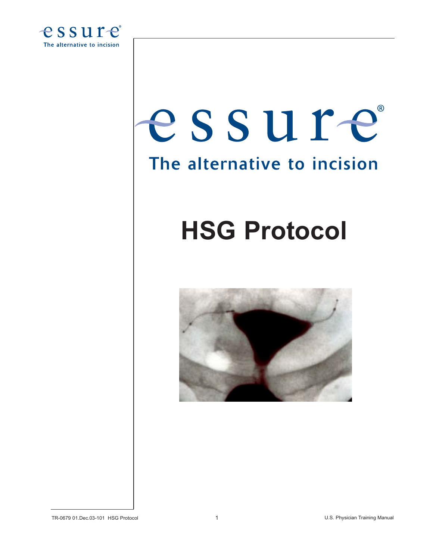

# essure The alternative to incision

# **HSG Protocol**



TR-0679 01.Dec.03-101 HSG Protocol 1 U.S. Physician Training Manual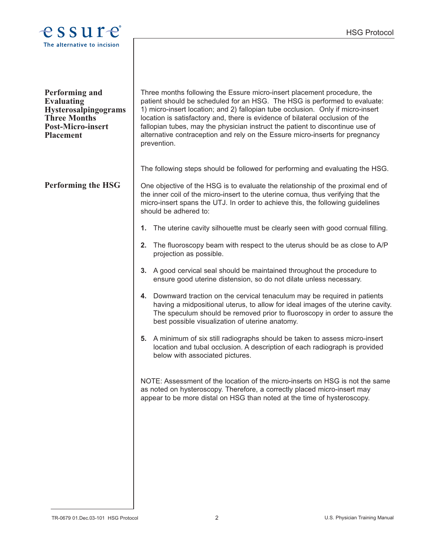

| <b>Performing and</b><br><b>Evaluating</b><br>Hysterosalpingograms<br><b>Three Months</b><br><b>Post-Micro-insert</b><br><b>Placement</b> | Three months following the Essure micro-insert placement procedure, the<br>patient should be scheduled for an HSG. The HSG is performed to evaluate:<br>1) micro-insert location; and 2) fallopian tube occlusion. Only if micro-insert<br>location is satisfactory and, there is evidence of bilateral occlusion of the<br>fallopian tubes, may the physician instruct the patient to discontinue use of<br>alternative contraception and rely on the Essure micro-inserts for pregnancy<br>prevention. |  |
|-------------------------------------------------------------------------------------------------------------------------------------------|----------------------------------------------------------------------------------------------------------------------------------------------------------------------------------------------------------------------------------------------------------------------------------------------------------------------------------------------------------------------------------------------------------------------------------------------------------------------------------------------------------|--|
|                                                                                                                                           | The following steps should be followed for performing and evaluating the HSG.                                                                                                                                                                                                                                                                                                                                                                                                                            |  |
| <b>Performing the HSG</b>                                                                                                                 | One objective of the HSG is to evaluate the relationship of the proximal end of<br>the inner coil of the micro-insert to the uterine cornua, thus verifying that the<br>micro-insert spans the UTJ. In order to achieve this, the following guidelines<br>should be adhered to:                                                                                                                                                                                                                          |  |
|                                                                                                                                           | The uterine cavity silhouette must be clearly seen with good cornual filling.<br>1.                                                                                                                                                                                                                                                                                                                                                                                                                      |  |
|                                                                                                                                           | The fluoroscopy beam with respect to the uterus should be as close to A/P<br>2.<br>projection as possible.                                                                                                                                                                                                                                                                                                                                                                                               |  |
|                                                                                                                                           | 3. A good cervical seal should be maintained throughout the procedure to<br>ensure good uterine distension, so do not dilate unless necessary.                                                                                                                                                                                                                                                                                                                                                           |  |
|                                                                                                                                           | 4. Downward traction on the cervical tenaculum may be required in patients<br>having a midpositional uterus, to allow for ideal images of the uterine cavity.<br>The speculum should be removed prior to fluoroscopy in order to assure the<br>best possible visualization of uterine anatomy.                                                                                                                                                                                                           |  |
|                                                                                                                                           | 5. A minimum of six still radiographs should be taken to assess micro-insert<br>location and tubal occlusion. A description of each radiograph is provided<br>below with associated pictures.                                                                                                                                                                                                                                                                                                            |  |
|                                                                                                                                           | NOTE: Assessment of the location of the micro-inserts on HSG is not the same<br>as noted on hysteroscopy. Therefore, a correctly placed micro-insert may<br>appear to be more distal on HSG than noted at the time of hysteroscopy.                                                                                                                                                                                                                                                                      |  |
|                                                                                                                                           |                                                                                                                                                                                                                                                                                                                                                                                                                                                                                                          |  |
|                                                                                                                                           |                                                                                                                                                                                                                                                                                                                                                                                                                                                                                                          |  |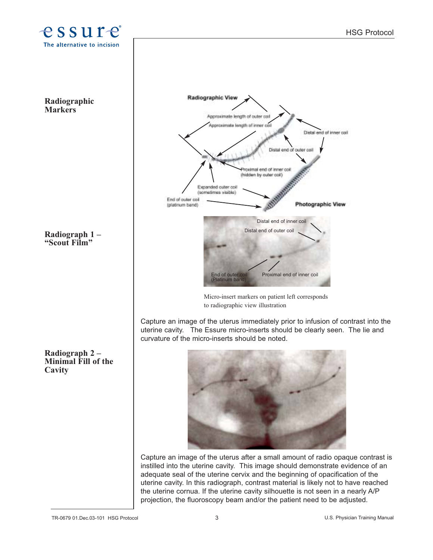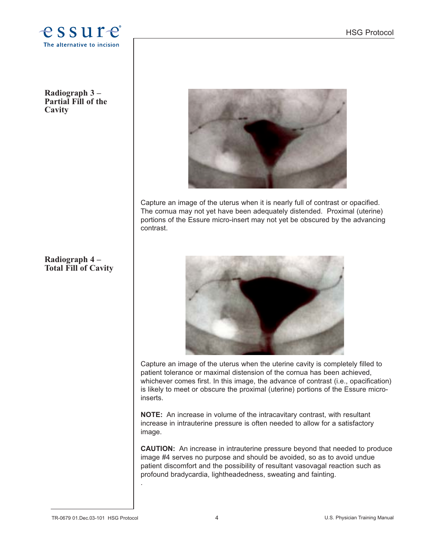

**Radiograph 3 – Partial Fill of the Cavity** 

# **Radiograph 4 – Total Fill of Cavity**



Capture an image of the uterus when it is nearly full of contrast or opacified. The cornua may not yet have been adequately distended. Proximal (uterine) portions of the Essure micro-insert may not yet be obscured by the advancing contrast.



Capture an image of the uterus when the uterine cavity is completely filled to patient tolerance or maximal distension of the cornua has been achieved, whichever comes first. In this image, the advance of contrast (i.e., opacification) is likely to meet or obscure the proximal (uterine) portions of the Essure microinserts.

**NOTE:** An increase in volume of the intracavitary contrast, with resultant increase in intrauterine pressure is often needed to allow for a satisfactory image.

**CAUTION:** An increase in intrauterine pressure beyond that needed to produce image #4 serves no purpose and should be avoided, so as to avoid undue patient discomfort and the possibility of resultant vasovagal reaction such as profound bradycardia, lightheadedness, sweating and fainting.

.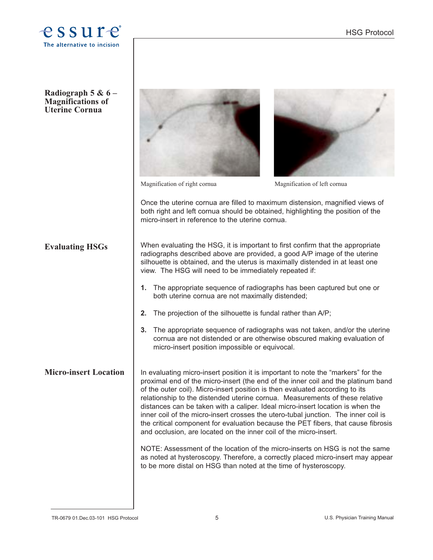

| Radiograph 5 & $6-$<br><b>Magnifications of</b><br><b>Uterine Cornua</b> |                                                                                                                                                                                                                                                                                                                                                                                                                                                                                                                                                                                                                                                                          |                                                                                                                                                                 |
|--------------------------------------------------------------------------|--------------------------------------------------------------------------------------------------------------------------------------------------------------------------------------------------------------------------------------------------------------------------------------------------------------------------------------------------------------------------------------------------------------------------------------------------------------------------------------------------------------------------------------------------------------------------------------------------------------------------------------------------------------------------|-----------------------------------------------------------------------------------------------------------------------------------------------------------------|
|                                                                          | Magnification of right cornua                                                                                                                                                                                                                                                                                                                                                                                                                                                                                                                                                                                                                                            | Magnification of left cornua                                                                                                                                    |
|                                                                          | micro-insert in reference to the uterine cornua.                                                                                                                                                                                                                                                                                                                                                                                                                                                                                                                                                                                                                         | Once the uterine cornua are filled to maximum distension, magnified views of<br>both right and left cornua should be obtained, highlighting the position of the |
| <b>Evaluating HSGs</b>                                                   | When evaluating the HSG, it is important to first confirm that the appropriate<br>radiographs described above are provided, a good A/P image of the uterine<br>silhouette is obtained, and the uterus is maximally distended in at least one<br>view. The HSG will need to be immediately repeated if:                                                                                                                                                                                                                                                                                                                                                                   |                                                                                                                                                                 |
|                                                                          | The appropriate sequence of radiographs has been captured but one or<br>1.<br>both uterine cornua are not maximally distended;                                                                                                                                                                                                                                                                                                                                                                                                                                                                                                                                           |                                                                                                                                                                 |
|                                                                          | The projection of the silhouette is fundal rather than A/P;<br>2.                                                                                                                                                                                                                                                                                                                                                                                                                                                                                                                                                                                                        |                                                                                                                                                                 |
|                                                                          | 3.<br>micro-insert position impossible or equivocal.                                                                                                                                                                                                                                                                                                                                                                                                                                                                                                                                                                                                                     | The appropriate sequence of radiographs was not taken, and/or the uterine<br>cornua are not distended or are otherwise obscured making evaluation of            |
| <b>Micro-insert Location</b>                                             | In evaluating micro-insert position it is important to note the "markers" for the<br>proximal end of the micro-insert (the end of the inner coil and the platinum band<br>of the outer coil). Micro-insert position is then evaluated according to its<br>relationship to the distended uterine cornua. Measurements of these relative<br>distances can be taken with a caliper. Ideal micro-insert location is when the<br>inner coil of the micro-insert crosses the utero-tubal junction. The inner coil is<br>the critical component for evaluation because the PET fibers, that cause fibrosis<br>and occlusion, are located on the inner coil of the micro-insert. |                                                                                                                                                                 |
|                                                                          | to be more distal on HSG than noted at the time of hysteroscopy.                                                                                                                                                                                                                                                                                                                                                                                                                                                                                                                                                                                                         | NOTE: Assessment of the location of the micro-inserts on HSG is not the same<br>as noted at hysteroscopy. Therefore, a correctly placed micro-insert may appear |
|                                                                          |                                                                                                                                                                                                                                                                                                                                                                                                                                                                                                                                                                                                                                                                          |                                                                                                                                                                 |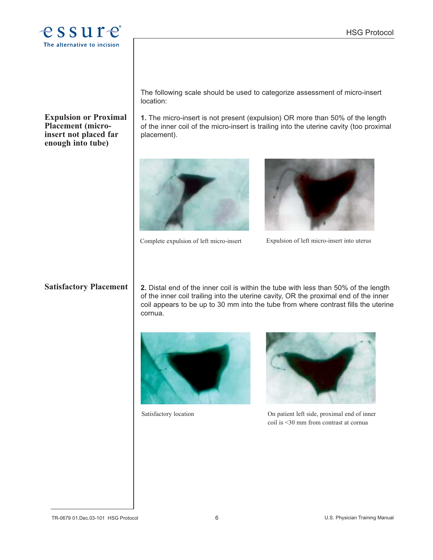

#### **Expulsion or Proximal Placement (microinsert not placed far enough into tube)**

The following scale should be used to categorize assessment of micro-insert location:

**1.** The micro-insert is not present (expulsion) OR more than 50% of the length of the inner coil of the micro-insert is trailing into the uterine cavity (too proximal placement).



Complete expulsion of left micro-insert Expulsion of left micro-insert into uterus



# **Satisfactory Placement**

**2.** Distal end of the inner coil is within the tube with less than 50% of the length of the inner coil trailing into the uterine cavity, OR the proximal end of the inner coil appears to be up to 30 mm into the tube from where contrast fills the uterine cornua.





Satisfactory location On patient left side, proximal end of inner coil is <30 mm from contrast at cornua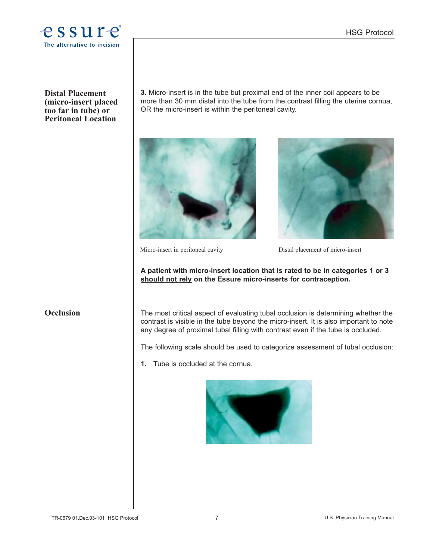

**Distal Placement (micro-insert placed too far in tube) or Peritoneal Location**

**3.** Micro-insert is in the tube but proximal end of the inner coil appears to be more than 30 mm distal into the tube from the contrast filling the uterine cornua, OR the micro-insert is within the peritoneal cavity.





Micro-insert in peritoneal cavity Distal placement of micro-insert

**A patient with micro-insert location that is rated to be in categories 1 or 3 should not rely on the Essure micro-inserts for contraception.**

# **Occlusion**

The most critical aspect of evaluating tubal occlusion is determining whether the contrast is visible in the tube beyond the micro-insert. It is also important to note any degree of proximal tubal filling with contrast even if the tube is occluded.

The following scale should be used to categorize assessment of tubal occlusion:

**1.** Tube is occluded at the cornua.

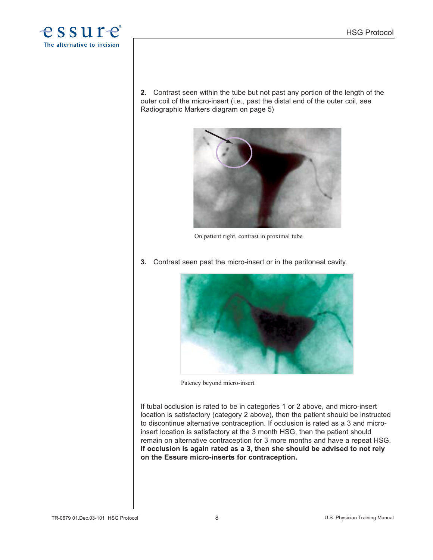

**2.** Contrast seen within the tube but not past any portion of the length of the outer coil of the micro-insert (i.e., past the distal end of the outer coil, see Radiographic Markers diagram on page 5)



On patient right, contrast in proximal tube

**3.** Contrast seen past the micro-insert or in the peritoneal cavity.



Patency beyond micro-insert

If tubal occlusion is rated to be in categories 1 or 2 above, and micro-insert location is satisfactory (category 2 above), then the patient should be instructed to discontinue alternative contraception. If occlusion is rated as a 3 and microinsert location is satisfactory at the 3 month HSG, then the patient should remain on alternative contraception for 3 more months and have a repeat HSG. **If occlusion is again rated as a 3, then she should be advised to not rely on the Essure micro-inserts for contraception.**